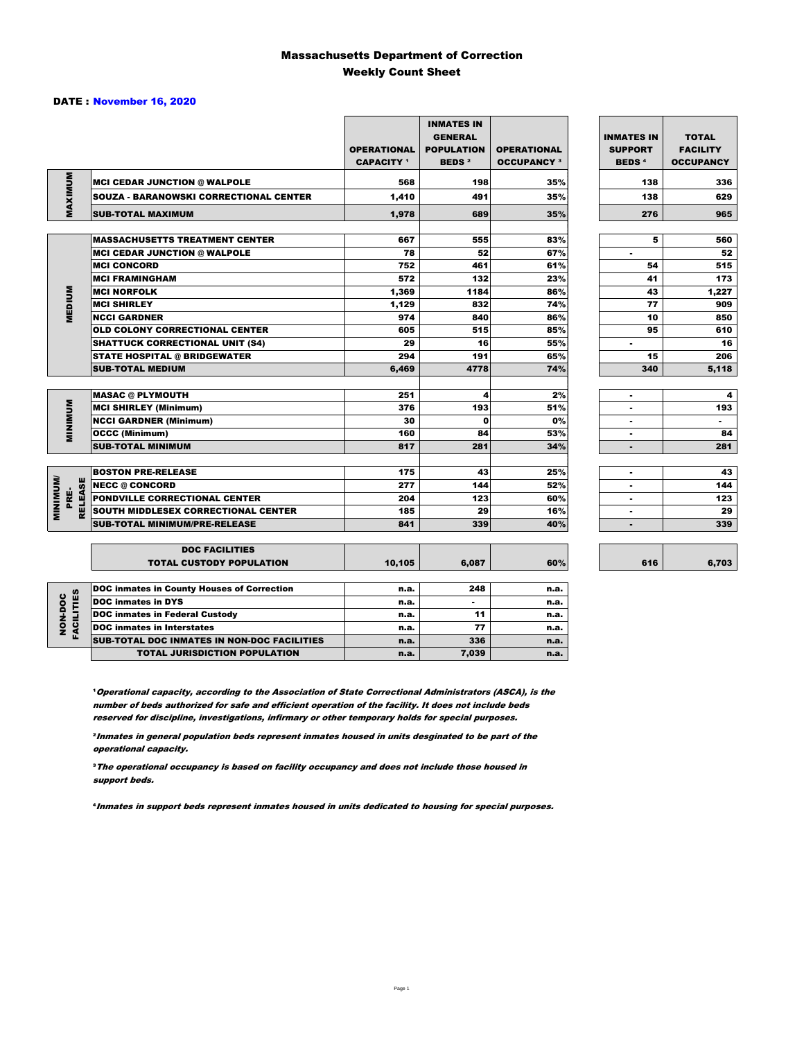#### Massachusetts Department of Correction Weekly Count Sheet

#### DATE : November 16, 2020

|                                   |                                                   | <b>OPERATIONAL</b><br><b>CAPACITY</b> 1 | <b>INMATES IN</b><br><b>GENERAL</b><br><b>POPULATION</b><br><b>BEDS<sup>2</sup></b> | <b>OPERATIONAL</b><br><b>OCCUPANCY 3</b> | <b>INMATES IN</b><br><b>SUPPORT</b><br><b>BEDS<sup>4</sup></b> | <b>TOTAL</b><br><b>FACILITY</b><br><b>OCCUPANCY</b> |
|-----------------------------------|---------------------------------------------------|-----------------------------------------|-------------------------------------------------------------------------------------|------------------------------------------|----------------------------------------------------------------|-----------------------------------------------------|
|                                   | <b>MCI CEDAR JUNCTION @ WALPOLE</b>               | 568                                     | 198                                                                                 | 35%                                      | 138                                                            | 336                                                 |
|                                   | <b>SOUZA - BARANOWSKI CORRECTIONAL CENTER</b>     | 1,410                                   | 491                                                                                 | 35%                                      | 138                                                            | 629                                                 |
| MAXIMUM                           | <b>SUB-TOTAL MAXIMUM</b>                          | 1,978                                   | 689                                                                                 | 35%                                      | 276                                                            | 965                                                 |
|                                   |                                                   |                                         |                                                                                     |                                          |                                                                |                                                     |
|                                   | <b>MASSACHUSETTS TREATMENT CENTER</b>             | 667                                     | 555                                                                                 | 83%                                      | 5                                                              | 560                                                 |
|                                   | <b>MCI CEDAR JUNCTION @ WALPOLE</b>               | 78                                      | 52                                                                                  | 67%                                      | ٠                                                              | 52                                                  |
|                                   | <b>MCI CONCORD</b>                                | 752                                     | 461                                                                                 | 61%                                      | 54                                                             | 515                                                 |
|                                   | <b>MCI FRAMINGHAM</b>                             | 572                                     | 132                                                                                 | 23%                                      | 41                                                             | 173                                                 |
|                                   | <b>MCI NORFOLK</b>                                | 1,369                                   | 1184                                                                                | 86%                                      | 43                                                             | 1,227                                               |
| <b>MEDIUM</b>                     | <b>MCI SHIRLEY</b>                                | 1,129                                   | 832                                                                                 | 74%                                      | 77                                                             | 909                                                 |
|                                   | <b>NCCI GARDNER</b>                               | 974                                     | 840                                                                                 | 86%                                      | 10                                                             | 850                                                 |
|                                   | <b>OLD COLONY CORRECTIONAL CENTER</b>             | 605                                     | 515                                                                                 | 85%                                      | 95                                                             | 610                                                 |
|                                   | <b>SHATTUCK CORRECTIONAL UNIT (S4)</b>            | 29                                      | 16                                                                                  | 55%                                      | ٠                                                              | 16                                                  |
|                                   | <b>STATE HOSPITAL @ BRIDGEWATER</b>               | 294                                     | 191                                                                                 | 65%                                      | 15                                                             | 206                                                 |
|                                   | <b>SUB-TOTAL MEDIUM</b>                           | 6,469                                   | 4778                                                                                | 74%                                      | 340                                                            | 5,118                                               |
|                                   | <b>MASAC @ PLYMOUTH</b>                           | 251                                     | 4                                                                                   | 2%                                       | ٠                                                              | 4                                                   |
|                                   | <b>MCI SHIRLEY (Minimum)</b>                      | 376                                     | 193                                                                                 | 51%                                      |                                                                | 193                                                 |
| <b>MINIMUM</b>                    | <b>NCCI GARDNER (Minimum)</b>                     | 30                                      | $\mathbf{0}$                                                                        | 0%                                       | ٠                                                              | $\sim$                                              |
|                                   | <b>OCCC (Minimum)</b>                             | 160                                     | 84                                                                                  | 53%                                      | $\blacksquare$                                                 | 84                                                  |
|                                   | <b>SUB-TOTAL MINIMUM</b>                          | 817                                     | 281                                                                                 | 34%                                      | $\blacksquare$                                                 | 281                                                 |
|                                   |                                                   |                                         |                                                                                     |                                          |                                                                |                                                     |
|                                   | <b>BOSTON PRE-RELEASE</b>                         | 175                                     | 43                                                                                  | 25%                                      | ۰                                                              | 43                                                  |
| <b>MINIMINI</b><br><b>RELEASE</b> | <b>INECC @ CONCORD</b>                            | 277                                     | 144                                                                                 | 52%                                      | ۰                                                              | 144                                                 |
| PRE-                              | PONDVILLE CORRECTIONAL CENTER                     | 204                                     | 123                                                                                 | 60%                                      | ×.                                                             | 123                                                 |
|                                   | SOUTH MIDDLESEX CORRECTIONAL CENTER               | 185                                     | 29                                                                                  | 16%                                      | ٠                                                              | 29                                                  |
|                                   | <b>SUB-TOTAL MINIMUM/PRE-RELEASE</b>              | 841                                     | 339                                                                                 | 40%                                      | ٠                                                              | 339                                                 |
|                                   | <b>DOC FACILITIES</b>                             |                                         |                                                                                     |                                          |                                                                |                                                     |
|                                   | <b>TOTAL CUSTODY POPULATION</b>                   | 10,105                                  | 6.087                                                                               | 60%                                      | 616                                                            | 6,703                                               |
|                                   | <b>DOC inmates in County Houses of Correction</b> | n.a.                                    | 248                                                                                 | n.a.                                     |                                                                |                                                     |
| <b>FACILITIES</b>                 | <b>DOC</b> inmates in DYS                         | n.a.                                    | ٠                                                                                   | n.a.                                     |                                                                |                                                     |
|                                   | <b>DOC inmates in Federal Custody</b>             | n.a.                                    | 11                                                                                  | n.a.                                     |                                                                |                                                     |
| NON-DOC                           | <b>DOC</b> inmates in Interstates                 | n.a.                                    | 77                                                                                  | n.a.                                     |                                                                |                                                     |
|                                   | CUR TOTAL BOO INIMETED IN NON-BOO FACU ITIED      |                                         | $\sim$                                                                              |                                          |                                                                |                                                     |

**Operational capacity, according to the Association of State Correctional Administrators (ASCA), is the** number of beds authorized for safe and efficient operation of the facility. It does not include beds reserved for discipline, investigations, infirmary or other temporary holds for special purposes.

SUB-TOTAL DOC INMATES IN NON-DOC FACILITIES n.a. 336 n.a. 336

TOTAL JURISDICTION POPULATION **n.a.** 7,039 n.a.

²Inmates in general population beds represent inmates housed in units desginated to be part of the operational capacity.

³The operational occupancy is based on facility occupancy and does not include those housed in support beds.

⁴Inmates in support beds represent inmates housed in units dedicated to housing for special purposes.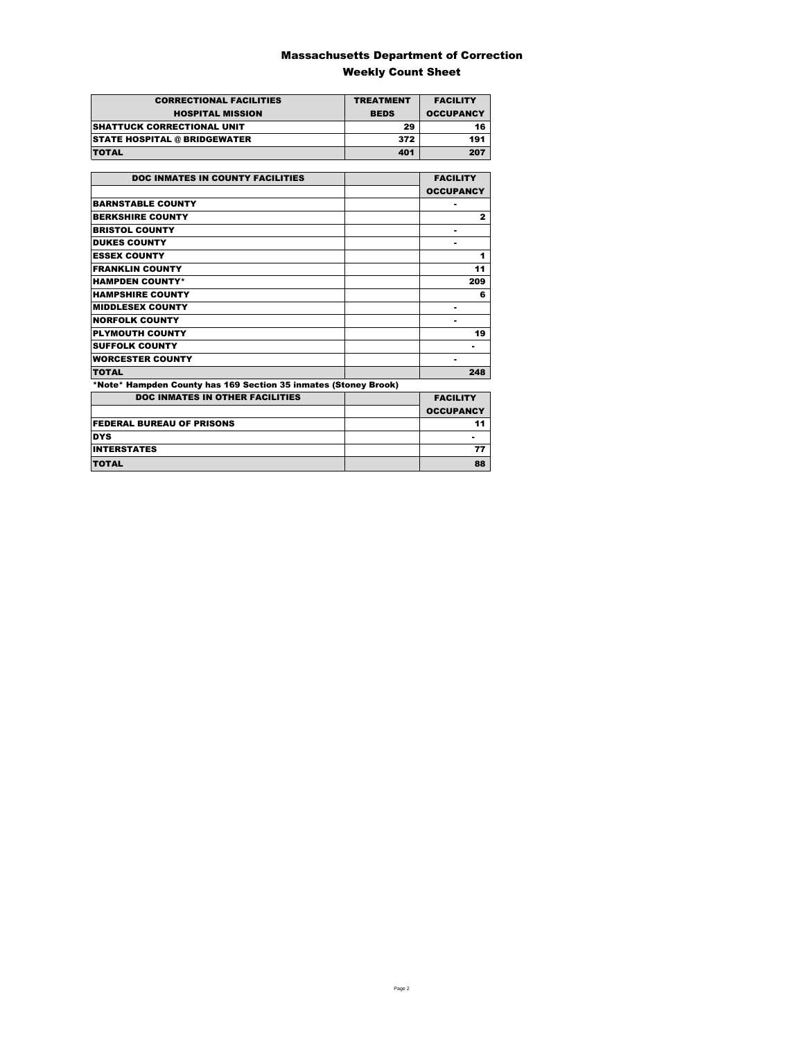### Massachusetts Department of Correction Weekly Count Sheet

| <b>CORRECTIONAL FACILITIES</b>      | <b>TREATMENT</b> | <b>FACILITY</b>  |
|-------------------------------------|------------------|------------------|
| <b>HOSPITAL MISSION</b>             | <b>BEDS</b>      | <b>OCCUPANCY</b> |
| <b>SHATTUCK CORRECTIONAL UNIT</b>   | 29               | 16               |
| <b>STATE HOSPITAL @ BRIDGEWATER</b> | 372              | 191              |
| <b>TOTAL</b>                        | 401              | 207              |

| <b>DOC INMATES IN COUNTY FACILITIES</b>                         | <b>FACILITY</b>  |
|-----------------------------------------------------------------|------------------|
|                                                                 | <b>OCCUPANCY</b> |
| <b>BARNSTABLE COUNTY</b>                                        |                  |
| <b>BERKSHIRE COUNTY</b>                                         | $\mathbf{2}$     |
| <b>BRISTOL COUNTY</b>                                           |                  |
| <b>DUKES COUNTY</b>                                             |                  |
| <b>ESSEX COUNTY</b>                                             | 1                |
| <b>FRANKLIN COUNTY</b>                                          | 11               |
| <b>HAMPDEN COUNTY*</b>                                          | 209              |
| <b>HAMPSHIRE COUNTY</b>                                         | 6                |
| <b>MIDDLESEX COUNTY</b>                                         |                  |
| <b>NORFOLK COUNTY</b>                                           |                  |
| <b>PLYMOUTH COUNTY</b>                                          | 19               |
| <b>SUFFOLK COUNTY</b>                                           | ۰                |
| <b>WORCESTER COUNTY</b>                                         |                  |
| <b>TOTAL</b>                                                    | 248              |
| *Note* Hampden County has 169 Section 35 inmates (Stoney Brook) |                  |
| <b>DOC INMATES IN OTHER FACILITIES</b>                          | <b>FACILITY</b>  |
|                                                                 | <b>OCCUPANCY</b> |
| <b>FEDERAL BUREAU OF PRISONS</b>                                | 11               |
| <b>DYS</b>                                                      |                  |
| <b>INTERSTATES</b>                                              | 77               |
| <b>TOTAL</b>                                                    | 88               |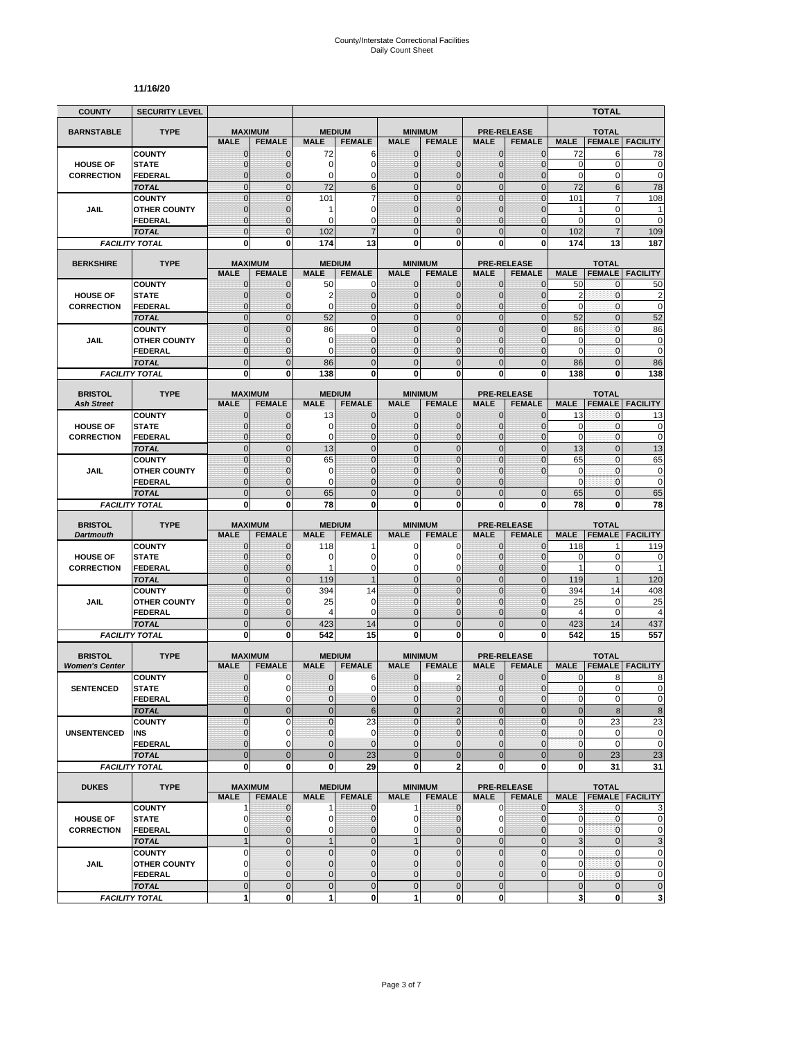#### **11/16/20**

| <b>COUNTY</b>                        | <b>SECURITY LEVEL</b>                 |                               |                              |                          |                                  |                              |                                  |                              |                                     |                           | <b>TOTAL</b>        |                          |
|--------------------------------------|---------------------------------------|-------------------------------|------------------------------|--------------------------|----------------------------------|------------------------------|----------------------------------|------------------------------|-------------------------------------|---------------------------|---------------------|--------------------------|
| <b>BARNSTABLE</b>                    | <b>TYPE</b>                           | <b>MAXIMUM</b>                |                              | <b>MEDIUM</b>            |                                  |                              | <b>MINIMUM</b>                   |                              | <b>PRE-RELEASE</b>                  |                           | <b>TOTAL</b>        |                          |
|                                      |                                       | <b>MALE</b>                   | <b>FEMALE</b>                | <b>MALE</b>              | <b>FEMALE</b>                    | <b>MALE</b>                  | <b>FEMALE</b>                    | <b>MALE</b>                  | <b>FEMALE</b>                       | <b>MALE</b>               | <b>FEMALE</b>       | <b>FACILITY</b>          |
|                                      | <b>COUNTY</b>                         | $\mathbf 0$                   | $\mathbf{0}$                 | 72                       | 6                                | $\mathbf{0}$                 | 0                                | $\mathbf{0}$                 | $\overline{0}$                      | 72                        | 6                   | 78                       |
| <b>HOUSE OF</b>                      | <b>STATE</b>                          | 0                             | $\mathbf{0}$                 | 0                        | 0                                | $\mathbf{0}$                 | 0                                | $\mathbf{0}$                 | $\mathbf 0$                         | 0                         | 0                   | $\mathbf 0$              |
| <b>CORRECTION</b>                    | <b>FEDERAL</b><br><b>TOTAL</b>        | $\overline{0}$<br>$\mathbf 0$ | $\Omega$<br>$\mathbf{0}$     | 0<br>72                  | 0<br>6                           | $\mathbf{0}$<br>$\mathbf{0}$ | $\overline{0}$<br>$\mathbf 0$    | $\Omega$<br>$\mathbf{0}$     | $\overline{0}$<br>$\overline{0}$    | $\mathbf 0$<br>72         | 0<br>$6\phantom{1}$ | $\mathbf 0$<br>78        |
|                                      | <b>COUNTY</b>                         | $\mathbf 0$                   | $\mathbf{0}$                 | 101                      | $\overline{7}$                   | $\mathbf{0}$                 | $\mathbf 0$                      | $\mathbf 0$                  | $\mathbf 0$                         | 101                       | 7                   | 108                      |
| JAIL                                 | <b>OTHER COUNTY</b>                   | $\overline{0}$                | $\Omega$                     | 1                        | 0                                | $\Omega$                     | $\overline{0}$                   | $\Omega$                     | $\overline{0}$                      | 1                         | $\mathbf 0$         | 1                        |
|                                      | <b>FEDERAL</b>                        | 0                             | $\mathbf{0}$                 | 0                        | 0                                | $\mathbf{0}$                 | 0                                | $\mathbf 0$                  | $\mathbf 0$                         | 0                         | 0                   | $\mathbf 0$              |
|                                      | <b>TOTAL</b>                          | $\overline{0}$                | $\overline{0}$               | 102                      | $\overline{7}$                   | $\Omega$                     | $\overline{0}$                   | $\Omega$                     | $\mathbf 0$                         | 102                       | $\overline{7}$      | 109                      |
|                                      | <b>FACILITY TOTAL</b>                 | $\mathbf 0$                   | $\mathbf{0}$                 | 174                      | 13                               | $\mathbf{0}$                 | $\bf{0}$                         | 0                            | $\mathbf{0}$                        | 174                       | 13                  | 187                      |
| <b>BERKSHIRE</b>                     | <b>TYPE</b>                           | <b>MAXIMUM</b>                |                              |                          | <b>MEDIUM</b>                    |                              | <b>MINIMUM</b>                   |                              | <b>PRE-RELEASE</b>                  |                           | <b>TOTAL</b>        |                          |
|                                      |                                       | <b>MALE</b>                   | <b>FEMALE</b>                | <b>MALE</b>              | <b>FEMALE</b>                    | <b>MALE</b>                  | <b>FEMALE</b>                    | <b>MALE</b>                  | <b>FEMALE</b>                       | <b>MALE</b>               | <b>FEMALE</b>       | <b>FACILITY</b>          |
|                                      | <b>COUNTY</b>                         | 0                             | 0                            | 50                       | $\mathbf 0$                      | $\mathbf{0}$                 | $\mathbf{0}$                     | $\mathbf{0}$                 | $\mathbf{0}$                        | 50                        | 0                   | 50                       |
| <b>HOUSE OF</b>                      | <b>STATE</b>                          | $\mathbf 0$                   | $\mathbf{0}$                 | $\overline{2}$           | $\mathbf 0$                      | $\mathbf{0}$                 | $\mathbf 0$                      | $\mathbf{0}$                 | $\overline{0}$                      | $\overline{2}$            | $\mathbf{0}$        | $\overline{\mathbf{c}}$  |
| <b>CORRECTION</b>                    | <b>FEDERAL</b>                        | $\mathbf{0}$                  | $\mathbf{0}$                 | 0                        | $\mathbf{0}$                     | $\mathbf{0}$                 | $\mathbf{0}$                     | $\mathbf{0}$                 | $\overline{0}$                      | $\mathbf 0$               | $\mathbf{0}$        | $\mathbf 0$              |
|                                      | <b>TOTAL</b>                          | $\overline{0}$                | $\mathbf{0}$                 | 52                       | $\overline{0}$                   | $\Omega$                     | $\overline{0}$                   | $\overline{0}$               | $\overline{0}$                      | 52                        | $\overline{0}$      | 52                       |
|                                      | <b>COUNTY</b>                         | $\overline{0}$                | $\Omega$                     | 86                       | $\overline{0}$<br>$\overline{0}$ | $\mathbf 0$                  | $\overline{0}$                   | $\overline{0}$               | $\overline{0}$                      | 86                        | $\mathbf 0$         | 86                       |
| <b>JAIL</b>                          | <b>OTHER COUNTY</b><br><b>FEDERAL</b> | $\mathbf 0$<br>$\mathbf 0$    | $\mathbf{0}$<br>$\mathbf{0}$ | 0<br>0                   | $\overline{0}$                   | $\mathbf{0}$<br>$\mathbf{0}$ | $\mathbf 0$<br>$\mathbf 0$       | $\mathbf 0$<br>$\mathbf 0$   | $\overline{0}$<br>$\overline{0}$    | 0<br>$\mathbf 0$          | 0<br>$\mathbf{0}$   | $\pmb{0}$<br>$\mathbf 0$ |
|                                      | <b>TOTAL</b>                          | $\mathbf 0$                   | $\mathbf{0}$                 | 86                       | $\mathbf 0$                      | $\overline{0}$               | $\mathbf 0$                      | $\mathbf{0}$                 | $\mathbf 0$                         | 86                        | $\mathbf 0$         | 86                       |
|                                      | <b>FACILITY TOTAL</b>                 | $\mathbf{0}$                  | $\bf{0}$                     | 138                      | $\mathbf{0}$                     | 0                            | $\mathbf 0$                      | $\mathbf{0}$                 | $\mathbf{0}$                        | 138                       | 0                   | 138                      |
|                                      |                                       |                               |                              |                          |                                  |                              |                                  |                              |                                     |                           |                     |                          |
| <b>BRISTOL</b>                       | <b>TYPE</b>                           | <b>MAXIMUM</b>                |                              |                          | <b>MEDIUM</b>                    |                              | <b>MINIMUM</b>                   |                              | <b>PRE-RELEASE</b>                  |                           | <b>TOTAL</b>        |                          |
| <b>Ash Street</b>                    |                                       | <b>MALE</b><br>$\mathbf 0$    | <b>FEMALE</b>                | <b>MALE</b>              | <b>FEMALE</b><br>$\mathbf 0$     | <b>MALE</b><br>$\mathbf{0}$  | <b>FEMALE</b><br>$\mathbf{0}$    | <b>MALE</b><br>$\mathbf{0}$  | <b>FEMALE</b><br>$\overline{0}$     | <b>MALE</b><br>13         | <b>FEMALE</b><br>0  | <b>FACILITY</b>          |
| <b>HOUSE OF</b>                      | <b>COUNTY</b><br><b>STATE</b>         | 0                             | $\mathbf 0$<br>$\mathbf{0}$  | 13<br>0                  | $\mathbf 0$                      | $\Omega$                     | 0                                | $\mathbf{0}$                 | $\mathbf{0}$                        | 0                         | 0                   | 13<br>$\bf{0}$           |
| <b>CORRECTION</b>                    | <b>FEDERAL</b>                        | $\overline{0}$                | $\mathbf{0}$                 | 0                        | $\mathbf 0$                      | $\mathbf{0}$                 | $\mathbf 0$                      | $\mathbf{0}$                 | $\mathbf 0$                         | $\mathbf 0$               | $\mathbf{0}$        | $\mathbf 0$              |
|                                      | <b>TOTAL</b>                          | $\mathbf 0$                   | $\mathbf{0}$                 | 13                       | $\mathbf 0$                      | $\mathbf{0}$                 | $\mathbf 0$                      | $\mathbf{0}$                 | $\mathbf 0$                         | 13                        | $\overline{0}$      | 13                       |
|                                      | <b>COUNTY</b>                         | $\overline{0}$                | $\Omega$                     | 65                       | $\Omega$                         | $\Omega$                     | $\overline{0}$                   | $\Omega$                     | $\overline{0}$                      | 65                        | $\mathbf{0}$        | 65                       |
| JAIL                                 | <b>OTHER COUNTY</b>                   | $\overline{0}$                | $\mathbf 0$                  | 0                        | $\overline{0}$                   | $\mathbf{0}$                 | $\overline{0}$                   | 0                            | $\overline{0}$                      | $\mathbf 0$               | $\mathbf 0$         | $\mathbf 0$              |
|                                      | FEDERAL                               | $\mathbf 0$                   | $\mathbf{0}$                 | 0                        | $\overline{0}$                   | $\mathbf{0}$                 | 0                                | $\Omega$                     |                                     | 0                         | 0                   | $\mathbf 0$              |
|                                      | <b>TOTAL</b>                          | $\overline{0}$                | $\overline{0}$               | 65                       | $\overline{0}$                   | $\overline{0}$               | $\overline{0}$                   | $\Omega$                     | $\overline{0}$                      | 65                        | $\overline{0}$      | 65                       |
|                                      | <b>FACILITY TOTAL</b>                 | 0                             | 0                            | 78                       | 0                                | 0                            | 0                                | 0                            | 0                                   | 78                        | 0                   | 78                       |
| <b>BRISTOL</b>                       | <b>TYPE</b>                           | <b>MAXIMUM</b>                |                              |                          | <b>MEDIUM</b>                    |                              | <b>MINIMUM</b>                   |                              | <b>PRE-RELEASE</b>                  |                           | <b>TOTAL</b>        |                          |
| <b>Dartmouth</b>                     |                                       | <b>MALE</b>                   | <b>FEMALE</b>                | <b>MALE</b>              | <b>FEMALE</b>                    | <b>MALE</b>                  | <b>FEMALE</b>                    | <b>MALE</b>                  | <b>FEMALE</b>                       | <b>MALE</b>               | <b>FEMALE</b>       | <b>FACILITY</b>          |
|                                      | <b>COUNTY</b>                         | 0                             | $\mathbf{0}$                 | 118                      | 1<br>0                           | 0                            | 0                                | $\mathbf{0}$                 | $\overline{0}$                      | 118                       | 1                   | 119                      |
| <b>HOUSE OF</b><br><b>CORRECTION</b> | <b>STATE</b><br><b>FEDERAL</b>        | 0<br>$\overline{0}$           | $\mathbf{0}$<br>$\mathbf{0}$ | 0<br>1                   | 0                                | 0<br>0                       | 0<br>0                           | $\mathbf 0$<br>$\mathbf 0$   | $\mathbf 0$<br>$\mathbf{0}$         | 0<br>1                    | 0<br>0              | $\mathbf 0$<br>1         |
|                                      | <b>TOTAL</b>                          | $\overline{0}$                | $\mathbf{0}$                 | 119                      | 1                                | $\mathbf{0}$                 | $\overline{0}$                   | $\mathbf{0}$                 | $\overline{0}$                      | 119                       | $\mathbf{1}$        | 120                      |
|                                      | <b>COUNTY</b>                         | $\mathbf 0$                   | $\mathbf{0}$                 | 394                      | 14                               | $\mathbf{0}$                 | $\mathbf 0$                      | $\mathbf{0}$                 | $\mathbf 0$                         | 394                       | 14                  | 408                      |
| <b>JAIL</b>                          | <b>OTHER COUNTY</b>                   | $\overline{0}$                | $\Omega$                     | 25                       | $\mathbf 0$                      | $\Omega$                     | $\overline{0}$                   | $\Omega$                     | $\Omega$                            | 25                        | 0                   | 25                       |
|                                      | <b>FEDERAL</b>                        | $\mathbf 0$                   | $\mathbf{0}$                 | 4                        | 0                                | $\mathbf{0}$                 | $\mathbf 0$                      | $\mathbf 0$                  | $\overline{0}$                      | 4                         | $\mathbf 0$         | $\overline{4}$           |
|                                      | <b>TOTAL</b>                          | $\mathbf 0$                   | $\overline{0}$               | 423                      | 14                               | $\mathbf{0}$                 | $\mathbf 0$                      | $\overline{0}$               | $\overline{0}$                      | 423                       | 14                  | 437                      |
|                                      | <b>FACILITY TOTAL</b>                 | 0                             | $\mathbf{0}$                 | 542                      | 15                               | $\mathbf{0}$                 | 0                                | 0                            | 0                                   | 542                       | 15                  | 557                      |
| <b>BRISTOL</b>                       | <b>TYPE</b>                           | <b>MAXIMUM</b>                |                              |                          | <b>MEDIUM</b>                    |                              | <b>MINIMUM</b>                   |                              | <b>PRE-RELEASE</b>                  |                           | <b>TOTAL</b>        |                          |
| <b>Women's Center</b>                |                                       | <b>MALE</b>                   | <b>FEMALE</b>                | <b>MALE</b>              | <b>FEMALE</b>                    | <b>MALE</b>                  | <b>FEMALE</b>                    | <b>MALE</b>                  | <b>FEMALE</b>                       | <b>MALE</b>               | <b>FEMALE</b>       | <b>FACILITY</b>          |
|                                      | <b>COUNTY</b>                         | 0                             | 0                            | $\mathbf 0$              | 6                                | $\mathbf 0$                  | $\overline{2}$                   | $\mathbf{0}$                 | $\mathbf{0}$                        | $\mathbf{0}$              | 8                   | 8                        |
| <b>SENTENCED</b>                     | <b>STATE</b>                          | $\Omega$                      | $\Omega$                     | $\Omega$                 | $\Omega$                         | $\Omega$                     | $\Omega$                         | $\Omega$                     | $\Omega$                            | $\mathbf{0}$              | $\overline{0}$      | $\Omega$                 |
|                                      | <b>FEDERAL</b>                        | $\mathbf 0$                   | $\mathbf 0$                  | 0                        | $\mathbf 0$                      | $\mathbf{0}$                 | $\mathbf{0}$                     | $\mathbf 0$                  | $\mathbf 0$                         | $\pmb{0}$                 | 0                   | $\pmb{0}$                |
|                                      | <b>TOTAL</b>                          | $\mathbf 0$                   | $\mathbf{0}$                 | $\mathbf 0$              | $6\phantom{1}6$                  | $\mathbf 0$                  | $\overline{2}$                   | $\mathbf{0}$                 | $\overline{0}$                      | $\mathbf 0$               | 8                   | $\bf 8$                  |
|                                      | <b>COUNTY</b>                         | $\mathbf 0$                   | $\mathbf 0$                  | 0                        | 23                               | $\mathbf{0}$                 | $\mathbf 0$                      | $\mathbf 0$                  | $\mathbf 0$                         | $\pmb{0}$                 | 23                  | 23                       |
| <b>UNSENTENCED</b>                   | INS<br><b>FEDERAL</b>                 | 0<br>$\mathbf 0$              | $\mathbf 0$<br>$\mathbf 0$   | $\mathbf 0$<br>$\pmb{0}$ | $\mathbf 0$<br>$\overline{0}$    | $\mathbf{0}$<br>$\mathbf{0}$ | $\overline{0}$<br>$\overline{0}$ | $\mathbf{0}$<br>$\mathbf{0}$ | $\mathbf{0}$<br>$\mathbf 0$         | $\mathbf{0}$<br>$\pmb{0}$ | 0<br>0              | $\pmb{0}$<br>$\mathbf 0$ |
|                                      | <b>TOTAL</b>                          | $\overline{0}$                | $\mathbf{0}$                 | $\mathbf 0$              | 23                               | $\overline{0}$               | $\mathbf{0}$                     | $\mathbf{0}$                 | $\mathbf 0$                         | $\bf 0$                   | 23                  | 23                       |
|                                      | <b>FACILITY TOTAL</b>                 | $\mathbf{0}$                  | $\bf{0}$                     | 0                        | 29                               | 0                            | $\overline{a}$                   | $\mathbf{0}$                 | 0                                   | 0                         | 31                  | 31                       |
|                                      |                                       |                               |                              |                          |                                  |                              |                                  |                              |                                     |                           |                     |                          |
| <b>DUKES</b>                         | <b>TYPE</b>                           | <b>MAXIMUM</b><br><b>MALE</b> | <b>FEMALE</b>                | <b>MALE</b>              | <b>MEDIUM</b><br><b>FEMALE</b>   | <b>MALE</b>                  | <b>MINIMUM</b><br><b>FEMALE</b>  | <b>MALE</b>                  | <b>PRE-RELEASE</b><br><b>FEMALE</b> | <b>MALE</b>               | <b>TOTAL</b>        | <b>FEMALE FACILITY</b>   |
|                                      | <b>COUNTY</b>                         | 1                             | $\mathbf{0}$                 | $\mathbf{1}$             | $\mathbf 0$                      | $\mathbf{1}$                 | $\mathbf 0$                      | $\mathbf 0$                  | $\mathbf 0$                         | 3                         | 0                   | 3                        |
| <b>HOUSE OF</b>                      | <b>STATE</b>                          | 0                             | $\mathbf 0$                  | 0                        | $\mathbf 0$                      | $\mathbf{0}$                 | 0                                | 0                            | $\mathbf 0$                         | 0                         | $\bf{0}$            | $\mathbf 0$              |
| <b>CORRECTION</b>                    | <b>FEDERAL</b>                        | 0                             | $\mathbf 0$                  | 0                        | 0                                | $\mathbf{0}$                 | 0                                | 0                            | $\mathbf 0$                         | 0                         | 0                   | $\mathbf 0$              |
|                                      | <b>TOTAL</b>                          | $\mathbf{1}$                  | $\mathbf{0}$                 | $\mathbf{1}$             | $\mathbf 0$                      | 1                            | $\mathbf 0$                      | $\mathbf{0}$                 | $\overline{0}$                      | $\ensuremath{\mathsf{3}}$ | $\mathbf 0$         | 3                        |
|                                      | <b>COUNTY</b>                         | $\pmb{0}$                     | $\mathbf 0$                  | $\mathbf 0$              | $\mathbf 0$                      | $\mathbf 0$                  | $\mathbf 0$                      | $\mathbf 0$                  | $\mathbf 0$                         | $\pmb{0}$                 | $\mathbf 0$         | $\mathbf 0$              |
| <b>JAIL</b>                          | <b>OTHER COUNTY</b>                   | 0                             | $\mathbf{0}$                 | $\mathbf{0}$             | $\overline{0}$                   | $\mathbf{0}$                 | $\mathbf{0}$                     | $\mathbf{0}$                 | $\mathbf{0}$                        | $\pmb{0}$                 | $\mathbf 0$         | $\pmb{0}$                |
|                                      | <b>FEDERAL</b>                        | 0                             | $\mathbf{0}$                 | $\pmb{0}$                | $\mathbf 0$                      | $\mathbf{0}$                 | 0                                | $\mathbf{0}$                 | $\mathbf 0$                         | $\pmb{0}$                 | $\mathbf 0$         | $\mathbf 0$              |
|                                      | <b>TOTAL</b>                          | $\mathbf 0$                   | $\mathbf{0}$                 | $\pmb{0}$                | $\mathbf 0$                      | $\mathbf 0$                  | $\mathbf 0$                      | $\mathbf{0}$                 |                                     | $\mathbf 0$               | $\mathbf 0$         | $\pmb{0}$                |
|                                      | <b>FACILITY TOTAL</b>                 | 1                             | $\mathbf{0}$                 | 1                        | 0                                | $\mathbf{1}$                 | 0                                | $\mathbf{0}$                 |                                     | 3                         | $\pmb{0}$           | 3                        |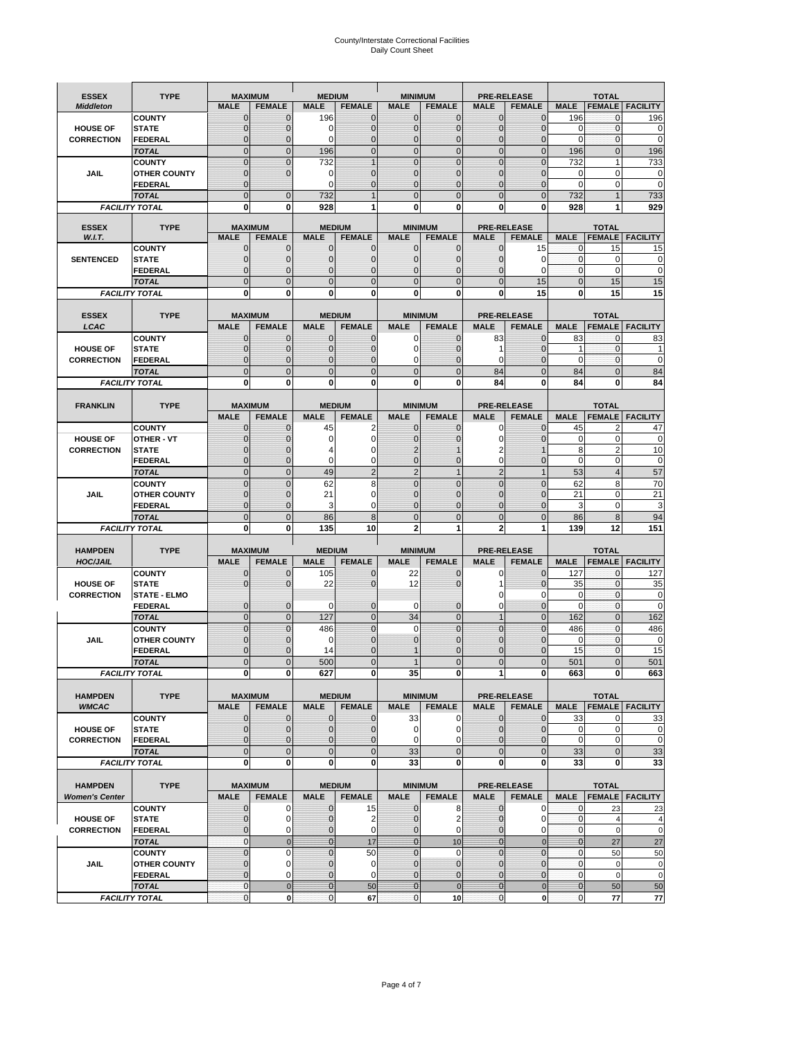# County/Interstate Correctional Facilities Daily Count Sheet

| <b>ESSEX</b>          | <b>TYPE</b>                           |                             | <b>MAXIMUM</b>                  | <b>MEDIUM</b>                  |                               | <b>MINIMUM</b>                 |                              |                               | <b>PRE-RELEASE</b>                  |                           | <b>TOTAL</b>                  |                        |
|-----------------------|---------------------------------------|-----------------------------|---------------------------------|--------------------------------|-------------------------------|--------------------------------|------------------------------|-------------------------------|-------------------------------------|---------------------------|-------------------------------|------------------------|
| <b>Middleton</b>      |                                       | <b>MALE</b>                 | <b>FEMALE</b>                   | <b>MALE</b>                    | <b>FEMALE</b>                 | <b>MALE</b>                    | <b>FEMALE</b>                | <b>MALE</b>                   | <b>FEMALE</b>                       | <b>MALE</b>               |                               | <b>FEMALE FACILITY</b> |
|                       | <b>COUNTY</b>                         | 0                           | $\mathbf 0$                     | 196                            | 0                             | $\mathbf{0}$                   | $\mathbf{0}$                 | $\mathbf{0}$                  | $\Omega$                            | 196                       | 0                             | 196                    |
| <b>HOUSE OF</b>       | <b>STATE</b>                          | 0                           | $\mathbf 0$                     | 0                              | 0                             | $\mathbf 0$                    | $\mathbf{0}$                 | $\mathbf{0}$                  | $\Omega$                            | $\Omega$                  | $\mathbf{0}$                  | 0                      |
| <b>CORRECTION</b>     | <b>FEDERAL</b>                        | $\Omega$<br>$\mathbf 0$     | $\mathbf 0$<br>$\overline{0}$   | $\Omega$                       | $\overline{0}$<br>$\mathbf 0$ | $\mathbf{0}$<br>$\mathbf{0}$   | $\mathbf{0}$<br>$\mathbf{0}$ | $\mathbf{0}$<br>$\mathbf 0$   | $\Omega$<br>$\overline{0}$          | $\Omega$                  | $\mathbf 0$<br>$\mathbf{0}$   | $\mathbf 0$            |
|                       | <b>TOTAL</b><br><b>COUNTY</b>         | $\mathbf 0$                 | $\mathbf{0}$                    | 196<br>732                     | $\overline{1}$                | $\mathbf{0}$                   | $\mathbf 0$                  | $\mathbf{0}$                  | $\overline{0}$                      | 196<br>732                | $\mathbf{1}$                  | 196<br>733             |
| JAIL                  | <b>OTHER COUNTY</b>                   | $\mathbf{0}$                | $\mathbf 0$                     | 0                              | 0                             | $\mathbf{0}$                   | $\Omega$                     | $\mathbf{0}$                  | ſ                                   | $\Omega$                  | $\Omega$                      | 0                      |
|                       | <b>FEDERAL</b>                        | $\mathbf{0}$                |                                 | $\Omega$                       | 0                             | $\mathbf 0$                    | $\mathbf 0$                  | $\mathbf{0}$                  | $\mathbf 0$                         | $\mathbf 0$               | 0                             | $\mathbf 0$            |
|                       | <b>TOTAL</b>                          | $\Omega$                    | $\overline{0}$                  | 732                            | $\overline{1}$                | $\mathbf{0}$                   | $\Omega$                     | $\overline{0}$                | $\Omega$                            | 732                       |                               | 733                    |
|                       | <b>FACILITY TOTAL</b>                 | 0                           | 0                               | 928                            | 1                             | $\bf{0}$                       | 0                            | 0                             | 0                                   | 928                       |                               | 929                    |
| <b>ESSEX</b>          | <b>TYPE</b>                           |                             | <b>MAXIMUM</b>                  |                                | <b>MEDIUM</b>                 |                                | <b>MINIMUM</b>               |                               | <b>PRE-RELEASE</b>                  |                           | <b>TOTAL</b>                  |                        |
| W.I.T.                |                                       | <b>MALE</b>                 | <b>FEMALE</b>                   | <b>MALE</b>                    | <b>FEMALE</b>                 | <b>MALE</b>                    | <b>FEMALE</b>                | <b>MALE</b>                   | <b>FEMALE</b>                       | <b>MALE</b>               | <b>FEMALE</b>                 | <b>FACILITY</b>        |
|                       | <b>COUNTY</b>                         | $\mathbf{0}$                | 0                               | $\mathbf 0$                    | $\mathbf{0}$                  | $\mathbf{0}$                   | $\mathbf{0}$                 | 0                             | 15                                  | 0                         | 15                            | 15                     |
| <b>SENTENCED</b>      | <b>STATE</b>                          | 0                           | $\overline{0}$                  | $\mathbf{0}$                   | 0                             | $\mathbf{0}$                   | $\mathbf{0}$                 | $\mathbf 0$                   | $\mathbf 0$                         | $\mathbf 0$               | $\mathbf 0$                   | $\mathbf 0$            |
|                       | <b>FEDERAL</b>                        | $\overline{0}$              | $\mathbf 0$                     | $\Omega$                       | 0                             | $\mathbf{0}$                   | $\Omega$                     | 0                             | $\Omega$                            | $\mathbf{0}$              | $\Omega$                      | $\mathbf 0$            |
|                       | <b>TOTAL</b>                          | $\overline{0}$              | $\overline{0}$                  | $\mathbf 0$                    | $\overline{0}$                | $\mathbf{0}$                   | $\overline{0}$               | $\mathbf 0$                   | 15                                  | $\mathbf{0}$              | 15                            | 15                     |
|                       | <b>FACILITY TOTAL</b>                 | $\mathbf{0}$                | 0                               | $\bf{0}$                       | O                             | $\bf{0}$                       | 0                            | 0                             | 15                                  | $\bf{0}$                  | 15                            | 15                     |
| <b>ESSEX</b>          | <b>TYPE</b>                           |                             | <b>MAXIMUM</b>                  |                                | <b>MEDIUM</b>                 |                                | <b>MINIMUM</b>               |                               | <b>PRE-RELEASE</b>                  |                           | <b>TOTAL</b>                  |                        |
| LCAC                  |                                       | <b>MALE</b>                 | <b>FEMALE</b>                   | <b>MALE</b>                    | <b>FEMALE</b>                 | <b>MALE</b>                    | <b>FEMALE</b>                | <b>MALE</b>                   | <b>FEMALE</b>                       | <b>MALE</b>               | <b>FEMALE</b>                 | <b>FACILITY</b>        |
|                       | <b>COUNTY</b>                         | 0                           | $\mathbf 0$                     | $\mathbf{0}$                   | 0                             | $\mathbf 0$                    | $\mathbf{0}$                 | 83                            | $\Omega$                            | 83                        | $\mathbf 0$                   | 83                     |
| <b>HOUSE OF</b>       | <b>STATE</b>                          | $\Omega$                    | $\mathbf 0$                     | $\Omega$                       | 0                             | $\Omega$                       | $\Omega$                     | 1                             | $\sqrt{ }$                          | 1                         | $\Omega$                      |                        |
| <b>CORRECTION</b>     | <b>FEDERAL</b>                        | 0                           | $\overline{0}$                  | $\mathbf{0}$                   | 0                             | $\mathbf 0$                    | $\mathbf 0$                  | $\mathbf 0$                   | $\mathcal{C}$                       | $\mathbf 0$               | $\mathbf{0}$                  | $\mathbf 0$            |
|                       | <b>TOTAL</b><br><b>FACILITY TOTAL</b> | $\overline{0}$<br>0         | $\overline{0}$<br>0             | $\overline{0}$<br>0            | $\overline{0}$<br>0           | $\mathbf 0$<br>$\bf{0}$        | $\overline{0}$<br>0          | 84<br>84                      | $\overline{0}$<br>0                 | 84<br>84                  | $\Omega$<br>0                 | 84<br>84               |
|                       |                                       |                             |                                 |                                |                               |                                |                              |                               |                                     |                           |                               |                        |
| <b>FRANKLIN</b>       | <b>TYPE</b>                           |                             | <b>MAXIMUM</b>                  |                                | <b>MEDIUM</b>                 |                                | <b>MINIMUM</b>               |                               | <b>PRE-RELEASE</b>                  |                           | <b>TOTAL</b>                  |                        |
|                       |                                       | <b>MALE</b>                 | <b>FEMALE</b>                   | <b>MALE</b>                    | <b>FEMALE</b>                 | <b>MALE</b>                    | <b>FEMALE</b>                | <b>MALE</b>                   | <b>FEMALE</b>                       | <b>MALE</b>               | <b>FEMALE</b>                 | <b>FACILITY</b>        |
|                       | <b>COUNTY</b>                         | 0                           | 0                               | 45                             | 2                             | $\mathbf{0}$                   | 0                            | 0                             | $\Omega$                            | 45                        | $\overline{2}$                | 47                     |
| <b>HOUSE OF</b>       | <b>OTHER - VT</b>                     | 0                           | $\overline{0}$                  | 0                              | $\mathbf 0$                   | $\mathbf 0$                    | $\Omega$                     | $\mathbf 0$                   | $\sqrt{ }$                          | $\mathbf 0$               | $\mathbf 0$                   | 0                      |
| <b>CORRECTION</b>     | <b>STATE</b>                          | 0                           | $\mathbf 0$                     | 4                              | 0                             | $\overline{2}$                 |                              | 2                             |                                     | 8                         | $\overline{2}$                | 10                     |
|                       | <b>FEDERAL</b>                        | $\mathbf{0}$<br>$\mathbf 0$ | $\overline{0}$<br>$\mathbf{0}$  | $\Omega$<br>49                 | 0<br>$\overline{2}$           | $\mathbf{0}$<br>$\overline{2}$ | $\mathbf{0}$<br>$\mathbf{1}$ | $\mathbf 0$<br>$\overline{2}$ | $\overline{0}$<br>1                 | $\mathbf 0$<br>53         | $\mathbf 0$                   | $\mathbf 0$<br>57      |
|                       | <b>TOTAL</b><br><b>COUNTY</b>         | $\mathbf 0$                 | $\mathbf 0$                     | 62                             | 8                             | $\mathbf 0$                    | $\mathbf 0$                  | $\mathbf{0}$                  | $\overline{0}$                      | 62                        | $\overline{4}$<br>8           | 70                     |
| <b>JAIL</b>           | <b>OTHER COUNTY</b>                   | $\overline{0}$              | $\mathbf 0$                     | 21                             | 0                             | $\Omega$                       | $\Omega$                     | $\mathbf 0$                   | $\sqrt{ }$                          | 21                        | $\Omega$                      | $\overline{21}$        |
|                       | <b>FEDERAL</b>                        | $\overline{0}$              | $\overline{0}$                  | 3                              | 0                             | $\mathbf{0}$                   | $\mathbf 0$                  | $\mathbf{0}$                  | $\mathbf 0$                         | 3                         | $\mathbf 0$                   | 3                      |
|                       | <b>TOTAL</b>                          | $\mathbf 0$                 | $\mathbf 0$                     | 86                             | 8                             | $\mathbf{0}$                   | $\overline{0}$               | $\mathbf 0$                   | $\Omega$                            | 86                        | 8                             | 94                     |
|                       | <b>FACILITY TOTAL</b>                 | $\mathbf{0}$                | 0                               | 135                            | 10                            | $\overline{2}$                 | 1                            | $\overline{2}$                |                                     | 139                       | 12                            | 151                    |
|                       |                                       |                             |                                 |                                |                               |                                |                              |                               |                                     |                           |                               |                        |
| <b>HAMPDEN</b>        | <b>TYPE</b>                           | <b>MALE</b>                 | <b>MAXIMUM</b><br><b>FEMALE</b> | <b>MEDIUM</b><br><b>MALE</b>   | <b>FEMALE</b>                 | <b>MINIMUM</b><br><b>MALE</b>  | <b>FEMALE</b>                | <b>MALE</b>                   | <b>PRE-RELEASE</b><br><b>FEMALE</b> | <b>MALE</b>               | <b>TOTAL</b><br><b>FEMALE</b> | <b>FACILITY</b>        |
| <b>HOC/JAIL</b>       | <b>COUNTY</b>                         | $\mathbf{0}$                | 0                               | 105                            | 0                             | 22                             | $\mathbf 0$                  | 0                             | $\Omega$                            | 127                       | $\mathbf 0$                   | 127                    |
| <b>HOUSE OF</b>       | <b>STATE</b>                          | $\Omega$                    | $\overline{0}$                  | 22                             | 0                             | 12                             | $\Omega$                     | 1                             | $\Omega$                            | 35                        | $\mathbf{0}$                  | 35                     |
| <b>CORRECTION</b>     | <b>STATE - ELMO</b>                   |                             |                                 |                                |                               |                                |                              | 0                             | $\Omega$                            | 0                         | $\mathbf{0}$                  | 0                      |
|                       | <b>FEDERAL</b>                        | $\mathbf{0}$                | $\mathbf 0$                     | 0                              | 0                             | 0                              | 0                            | 0                             | $\overline{0}$                      | $\Omega$                  | $\mathbf 0$                   | 0                      |
|                       | <b>TOTAL</b>                          | $\mathbf{0}$                | $\overline{0}$                  | 127                            | $\overline{0}$                | 34                             | $\mathbf{0}$                 | $\mathbf{1}$                  | $\overline{0}$                      | 162                       | $\mathbf{0}$                  | 162                    |
|                       | <b>COUNTY</b>                         | $\Omega$                    | $\overline{0}$                  | 486                            | $\overline{0}$                | $\Omega$                       | $\Omega$                     | $\overline{0}$                | $\Omega$                            | 486                       | $\Omega$                      | 486                    |
| JAIL                  | <b>OTHER COUNTY</b><br><b>FEDERAL</b> | 0<br>$\Omega$               | $\mathbf 0$<br>$\Omega$         | 0<br>14                        | 0<br>$\Omega$                 | $\mathbf{0}$                   | $\Omega$<br>$\Omega$         | $\mathbf 0$<br>$\mathbf 0$    | $\Omega$<br>$\Omega$                | $\mathbf 0$<br>15         | $\mathbf{0}$<br>$\Omega$      | 0<br>15                |
|                       | <b>TOTAL</b>                          | $\overline{0}$              | $\mathcal{C}$                   | 500                            | $\overline{0}$                |                                | $\Omega$                     | $\overline{0}$                |                                     | 501                       |                               | 501                    |
|                       | <b>FACILITY TOTAL</b>                 | $\mathbf{0}$                | 0                               | 627                            | 0                             | 35                             | 0                            | 1                             | 0                                   | 663                       | 0                             | 663                    |
|                       |                                       |                             |                                 |                                |                               |                                |                              |                               |                                     |                           |                               |                        |
| <b>HAMPDEN</b>        | <b>TYPE</b>                           |                             | <b>MAXIMUM</b>                  |                                | <b>MEDIUM</b>                 |                                | <b>MINIMUM</b>               |                               | <b>PRE-RELEASE</b>                  |                           | <b>TOTAL</b>                  |                        |
| <b>WMCAC</b>          |                                       | <b>MALE</b>                 | <b>FEMALE</b>                   | <b>MALE</b>                    | <b>FEMALE</b>                 | <b>MALE</b>                    | <b>FEMALE</b>                | <b>MALE</b>                   | <b>FEMALE</b>                       | <b>MALE</b>               |                               | <b>FEMALE FACILITY</b> |
| <b>HOUSE OF</b>       | <b>COUNTY</b><br><b>STATE</b>         | 0<br>0                      | $\mathbf 0$<br>$\mathbf{0}$     | $\mathbf{0}$<br>$\mathbf{0}$   | 0<br>0                        | 33<br>$\pmb{0}$                | 0<br>0                       | $\mathbf 0$<br>$\mathbf{0}$   | $\mathbf 0$<br>$\overline{0}$       | 33<br>$\mathbf 0$         | 0<br>$\mathbf 0$              | 33<br>0                |
| <b>CORRECTION</b>     | <b>FEDERAL</b>                        | 0                           | $\overline{0}$                  | $\overline{0}$                 | 0                             | $\mathbf 0$                    | 0                            | 0                             | $\overline{0}$                      | $\mathbf 0$               | $\mathbf 0$                   | $\pmb{0}$              |
|                       | <b>TOTAL</b>                          | $\mathbf 0$                 | $\mathbf 0$                     | $\overline{0}$                 | $\mathbf 0$                   | 33                             | $\mathbf 0$                  | $\mathbf 0$                   | $\mathbf 0$                         | 33                        | $\mathbf 0$                   | 33                     |
|                       | <b>FACILITY TOTAL</b>                 | 0                           | 0                               | $\mathbf{0}$                   | 0                             | 33                             | 0                            | 0                             | $\mathbf 0$                         | 33                        | 0                             | 33                     |
|                       |                                       |                             |                                 |                                |                               |                                |                              |                               |                                     |                           |                               |                        |
| <b>HAMPDEN</b>        | <b>TYPE</b>                           |                             | <b>MAXIMUM</b>                  |                                | <b>MEDIUM</b>                 |                                | <b>MINIMUM</b>               |                               | <b>PRE-RELEASE</b>                  |                           | <b>TOTAL</b>                  |                        |
| <b>Women's Center</b> | <b>COUNTY</b>                         | <b>MALE</b>                 | <b>FEMALE</b><br>0              | <b>MALE</b><br>0               | <b>FEMALE</b>                 | <b>MALE</b>                    | <b>FEMALE</b><br>8           | <b>MALE</b><br>0              | <b>FEMALE</b><br>0                  | <b>MALE</b><br>0          |                               | <b>FEMALE FACILITY</b> |
| <b>HOUSE OF</b>       | <b>STATE</b>                          | 0<br>$\mathbf{0}$           | $\mathbf 0$                     | $\mathbf 0$                    | 15<br>2                       | $\bf{0}$<br>$\mathbf{0}$       | 2                            | $\mathbf{0}$                  | 0                                   | $\mathbf{0}$              | 23<br>$\overline{4}$          | 23<br>4                |
| <b>CORRECTION</b>     | <b>FEDERAL</b>                        | 0                           | 0                               | 0                              | $\mathbf 0$                   | $\mathbf 0$                    | 0                            | $\mathbf{0}$                  | 0                                   | $\mathbf 0$               | $\mathbf 0$                   | $\mathbf 0$            |
|                       | <b>TOTAL</b>                          | $\mathbf{0}$                | $\mathbf{0}$                    | $\overline{0}$                 | 17                            | $\overline{0}$                 | 10                           | $\mathbf{0}$                  | $\mathbf{0}$                        | $\overline{0}$            | 27                            | 27                     |
|                       | <b>COUNTY</b>                         | $\mathbf 0$                 | $\mathbf 0$                     | $\Omega$                       | 50                            | $\mathbf{0}$                   | $\Omega$                     | $\overline{0}$                | $\overline{0}$                      | $\mathbf 0$               | 50                            | 50                     |
| JAIL                  | <b>OTHER COUNTY</b>                   | $\overline{0}$              | 0                               | $\mathbf{0}$                   | $\mathbf 0$                   | $\mathbf{0}$                   | $\mathbf{0}$                 | $\mathbf{0}$                  | $\Omega$                            | $\mathbf 0$               | $\mathbf 0$                   | 0                      |
|                       | FEDERAL                               | 0<br>$\mathbf{0}$           | 0                               | $\mathbf{0}$<br>$\overline{0}$ | 0                             | $\mathbf 0$<br>$\bf{0}$        | $\mathbf{0}$<br>$\mathbf{0}$ | 0                             | $\overline{0}$                      | $\mathbf 0$               | $\mathbf 0$                   | $\pmb{0}$              |
|                       | <b>TOTAL</b><br><b>FACILITY TOTAL</b> | 0                           | $\mathbf 0$<br>$\pmb{0}$        | $\pmb{0}$                      | 50<br>67                      | $\mathbf 0$                    | 10                           | $\bf{0}$<br>$\mathbf{0}$      | $\pmb{0}$<br>$\mathbf 0$            | $\mathbf{0}$<br>$\pmb{0}$ | 50<br>77                      | 50<br>77               |
|                       |                                       |                             |                                 |                                |                               |                                |                              |                               |                                     |                           |                               |                        |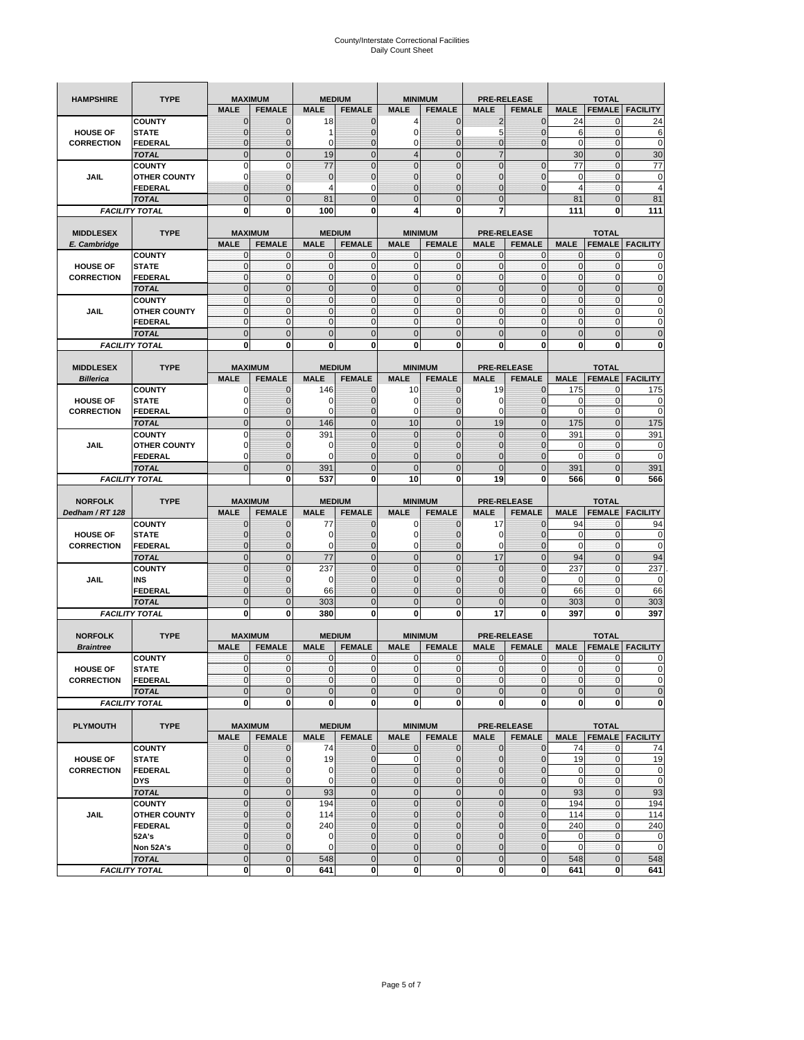| <b>HAMPSHIRE</b>                     | <b>TYPE</b>                           | <b>MAXIMUM</b>                |                            | <b>MEDIUM</b>    |                                | <b>MINIMUM</b>                |                                | <b>PRE-RELEASE</b>          |                                     | <b>TOTAL</b>               |                               |                            |  |
|--------------------------------------|---------------------------------------|-------------------------------|----------------------------|------------------|--------------------------------|-------------------------------|--------------------------------|-----------------------------|-------------------------------------|----------------------------|-------------------------------|----------------------------|--|
|                                      |                                       | <b>MALE</b>                   | <b>FEMALE</b>              | <b>MALE</b>      | <b>FEMALE</b>                  | <b>MALE</b>                   | <b>FEMALE</b>                  | <b>MALE</b>                 | <b>FEMALE</b>                       | <b>MALE</b>                | <b>FEMALE</b>                 | <b>FACILITY</b>            |  |
|                                      | <b>COUNTY</b>                         | $\mathbf 0$                   | $\overline{0}$             | 18               | $\mathbf 0$                    | 4                             | $\mathbf{0}$                   | $\overline{2}$              | $\overline{0}$                      | 24                         | 0                             | 24                         |  |
| <b>HOUSE OF</b>                      | <b>STATE</b>                          | ∩                             | 0                          | 1                | $\mathbf{0}$                   | 0                             | $\mathbf 0$                    | 5                           | 0                                   | 6                          | $\mathbf 0$                   | 6                          |  |
| <b>CORRECTION</b>                    | <b>FEDERAL</b>                        | $\mathbf{0}$                  | 0                          | $\mathbf 0$      | $\mathbf{0}$                   | 0                             | $\mathbf{0}$                   | $\mathbf{0}$                | $\overline{0}$                      | $\mathbf 0$                | $\mathbf 0$                   | $\mathbf 0$                |  |
|                                      | <b>TOTAL</b>                          | $\overline{0}$                | $\mathbf 0$                | 19               | $\overline{0}$                 | $\overline{4}$                | $\overline{0}$                 | $\overline{7}$              |                                     | 30                         | $\mathbf 0$                   | 30                         |  |
|                                      | <b>COUNTY</b>                         | $\Omega$                      | $\mathbf 0$                | 77               | $\mathbf{0}$                   | $\overline{0}$                | $\overline{0}$                 | $\mathbf{0}$                | $\mathbf 0$                         | 77                         | $\mathbf 0$                   | 77                         |  |
| JAIL                                 | <b>OTHER COUNTY</b>                   | 0                             | $\overline{0}$             | $\mathbf 0$      | $\mathbf{0}$                   | $\overline{0}$                | $\mathbf{0}$                   | 0                           | $\overline{0}$                      | $\mathbf 0$                | $\mathbf{0}$                  | $\mathbf 0$                |  |
|                                      | <b>FEDERAL</b>                        | $\mathbf{0}$                  | $\overline{0}$             | $\overline{4}$   | 0                              | $\overline{0}$                | $\overline{0}$                 | $\mathbf{0}$                | $\overline{0}$                      | 4                          | $\mathbf 0$                   | $\overline{4}$             |  |
|                                      | <b>TOTAL</b>                          | $\Omega$                      | $\overline{0}$             | 81               | $\mathbf{0}$                   | 0                             | $\overline{0}$                 | $\mathbf{0}$                |                                     | 81                         | $\mathbf 0$                   | 81                         |  |
|                                      | <b>FACILITY TOTAL</b>                 | $\bf{0}$                      | 0                          | 100              | 0                              | 4                             | 0                              | 7                           |                                     | 111                        | 0                             | 111                        |  |
|                                      |                                       |                               |                            |                  |                                |                               |                                |                             |                                     |                            |                               |                            |  |
| <b>MIDDLESEX</b><br>E. Cambridge     | <b>TYPE</b>                           | <b>MAXIMUM</b><br><b>MALE</b> | <b>FEMALE</b>              | <b>MALE</b>      | <b>MEDIUM</b><br><b>FEMALE</b> | <b>MINIMUM</b><br><b>MALE</b> | <b>FEMALE</b>                  | <b>MALE</b>                 | <b>PRE-RELEASE</b><br><b>FEMALE</b> | <b>MALE</b>                | <b>TOTAL</b><br><b>FEMALE</b> | <b>FACILITY</b>            |  |
|                                      | <b>COUNTY</b>                         | 0                             | $\mathbf 0$                | 0                | 0                              | 0                             | $\mathbf{0}$                   | $\mathbf 0$                 | 0                                   | 0                          | $\mathbf{0}$                  | 0                          |  |
| <b>HOUSE OF</b>                      | <b>STATE</b>                          | $\pmb{0}$                     | $\mathbf{0}$               | $\mathbf 0$      | $\bf{0}$                       | 0                             | $\mathbf{0}$                   | $\mathbf 0$                 | 0                                   | $\mathbf 0$                | $\mathbf 0$                   | $\mathbf 0$                |  |
| <b>CORRECTION</b>                    | <b>FEDERAL</b>                        | $\mathbf{0}$                  | $\mathbf{0}$               | $\mathbf 0$      | $\mathbf{O}$                   | $\mathbf{0}$                  | $\mathbf{0}$                   | $\mathbf{0}$                | $\mathbf 0$                         | $\mathbf 0$                | $\mathbf 0$                   | $\pmb{0}$                  |  |
|                                      | <b>TOTAL</b>                          | $\mathbf{0}$                  | $\overline{0}$             | $\overline{0}$   | $\mathbf{0}$                   | $\overline{0}$                | $\mathbf{0}$                   | $\mathbf{0}$                | $\overline{0}$                      | $\overline{0}$             | $\overline{0}$                | $\pmb{0}$                  |  |
|                                      | <b>COUNTY</b>                         | $\mathbf{0}$                  | $\mathbf{0}$               | $\mathbf 0$      | $\mathbf{O}$                   | $\mathbf{0}$                  | $\mathbf{0}$                   | $\mathbf{O}$                | $\overline{0}$                      | $\mathbf 0$                | $\mathbf{0}$                  | $\pmb{0}$                  |  |
| JAIL                                 | <b>OTHER COUNTY</b>                   | $\Omega$                      | $\mathbf 0$                | $\mathbf{0}$     | $\Omega$                       | $\mathbf{0}$                  | $\mathbf{0}$                   | $\mathbf{0}$                | $\overline{0}$                      | $\mathbf 0$                | $\mathbf{0}$                  | $\mathbf 0$                |  |
|                                      | <b>FEDERAL</b>                        | $\mathbf{0}$                  | $\mathbf 0$                | $\mathbf 0$      | $\mathbf{O}$                   | 0                             | $\mathbf{0}$                   | $\mathbf{O}$                | 0                                   | $\mathbf 0$                | $\mathbf 0$                   | $\mathbf 0$                |  |
|                                      | <b>TOTAL</b>                          | $\mathbf{0}$                  | $\overline{0}$             | $\overline{0}$   | $\mathbf{0}$                   | $\mathbf 0$                   | $\mathbf 0$                    | $\mathbf{0}$                | $\overline{0}$                      | $\mathbf 0$                | $\overline{0}$                | $\mathbf 0$                |  |
|                                      | <b>FACILITY TOTAL</b>                 | 0                             | 0                          | 0                | 0                              | 0                             | 0                              | 0                           | 0                                   | 0                          | 0                             | $\bf{0}$                   |  |
|                                      |                                       |                               |                            |                  |                                |                               |                                |                             |                                     |                            |                               |                            |  |
| <b>MIDDLESEX</b>                     | <b>TYPE</b>                           | <b>MAXIMUM</b>                |                            |                  | <b>MEDIUM</b>                  | <b>MINIMUM</b>                |                                |                             | <b>PRE-RELEASE</b>                  |                            | <b>TOTAL</b>                  |                            |  |
| <b>Billerica</b>                     |                                       | <b>MALE</b>                   | <b>FEMALE</b>              | <b>MALE</b>      | <b>FEMALE</b>                  | <b>MALE</b>                   | <b>FEMALE</b>                  | <b>MALE</b>                 | <b>FEMALE</b>                       | <b>MALE</b>                | <b>FEMALE</b>                 | <b>FACILITY</b>            |  |
|                                      | <b>COUNTY</b>                         | 0                             | $\overline{0}$             | 146              | $\mathbf 0$                    | 10                            | $\mathbf{0}$                   | 19                          | $\overline{0}$                      | 175                        | $\mathbf{0}$                  | 175                        |  |
| <b>HOUSE OF</b><br><b>CORRECTION</b> | <b>STATE</b>                          | $\Omega$                      | $\overline{0}$<br>0        | 0<br>0           | $\mathbf 0$<br>$\mathbf{0}$    | 0<br>0                        | $\overline{0}$<br>$\mathbf{0}$ | 0<br>$\mathbf 0$            | $\overline{0}$<br>0                 | 0<br>$\overline{0}$        | $\mathbf 0$<br>$\mathbf 0$    | 0<br>$\mathbf 0$           |  |
|                                      | FEDERAL<br><b>TOTAL</b>               | $\mathbf{0}$                  | $\overline{0}$             | 146              | $\mathbf{0}$                   | 10                            | $\mathbf{0}$                   | 19                          | $\overline{0}$                      | 175                        | $\overline{0}$                | 175                        |  |
|                                      | <b>COUNTY</b>                         | $\Omega$                      | $\overline{0}$             | 391              | $\mathbf 0$                    | $\overline{0}$                | $\Omega$                       | $\mathbf{0}$                | $\overline{0}$                      | 391                        | $\mathbf{0}$                  | 391                        |  |
| JAIL                                 | <b>OTHER COUNTY</b>                   | $\Omega$                      | 0                          | 0                | $\overline{0}$                 | 0                             | $\mathbf{0}$                   | $\overline{0}$              | 0                                   | 0                          | $\mathbf{0}$                  | 0                          |  |
|                                      | <b>FEDERAL</b>                        | 0                             | $\overline{0}$             | $\mathbf 0$      | $\mathbf 0$                    | $\overline{0}$                | $\overline{0}$                 | 0                           | $\overline{0}$                      | $\overline{0}$             | $\mathbf{0}$                  | $\mathbf 0$                |  |
|                                      | <b>TOTAL</b>                          | $\Omega$                      | $\mathbf 0$                | 391              | $\mathbf{0}$                   | $\mathbf 0$                   | $\mathbf 0$                    | $\mathbf{0}$                | $\overline{0}$                      | 391                        | $\mathbf 0$                   | 391                        |  |
|                                      | <b>FACILITY TOTAL</b>                 |                               | $\mathbf 0$                | 537              | $\bf{0}$                       | 10                            | 0                              | 19                          | 0                                   | 566                        | $\bf{0}$                      | 566                        |  |
|                                      |                                       |                               |                            |                  |                                |                               |                                |                             |                                     |                            |                               |                            |  |
|                                      |                                       |                               |                            |                  |                                |                               |                                |                             |                                     |                            |                               |                            |  |
| <b>NORFOLK</b>                       | <b>TYPE</b>                           | <b>MAXIMUM</b>                |                            |                  | <b>MEDIUM</b>                  |                               | <b>MINIMUM</b>                 |                             | <b>PRE-RELEASE</b>                  |                            | <b>TOTAL</b>                  |                            |  |
| Dedham / RT 128                      |                                       | <b>MALE</b>                   | <b>FEMALE</b>              | <b>MALE</b>      | <b>FEMALE</b>                  | <b>MALE</b>                   | <b>FEMALE</b>                  | <b>MALE</b>                 | <b>FEMALE</b>                       | <b>MALE</b>                | <b>FEMALE</b>                 | <b>FACILITY</b>            |  |
|                                      | <b>COUNTY</b>                         | $\Omega$                      | $\overline{0}$             | 77               | 0                              | 0                             | $\mathbf 0$                    | 17                          | $\overline{0}$                      | 94                         | 0                             | 94                         |  |
| <b>HOUSE OF</b>                      | <b>STATE</b>                          | $\Omega$                      | $\overline{0}$             | 0                | $\mathbf{0}$                   | 0                             | $\overline{0}$                 | 0                           | $\overline{0}$                      | 0                          | 0                             | $\mathbf 0$                |  |
| <b>CORRECTION</b>                    | <b>FEDERAL</b>                        | $\Omega$                      | 0                          | 0                | $\mathbf{0}$                   | 0                             | $\mathbf 0$                    | 0                           | 0                                   | $\mathbf 0$                | $\mathbf 0$                   | $\mathbf 0$                |  |
|                                      | <b>TOTAL</b>                          | $\Omega$                      | $\overline{0}$             | 77               | $\mathbf{0}$                   | $\mathbf 0$                   | $\mathbf 0$                    | 17                          | $\overline{0}$                      | 94                         | $\mathbf 0$                   | 94                         |  |
|                                      | <b>COUNTY</b>                         | $\overline{0}$                | $\overline{0}$             | 237              | $\mathbf{0}$                   | $\overline{0}$                | $\overline{0}$                 | $\mathbf{0}$                | $\overline{0}$                      | 237                        | $\mathbf 0$                   | 237                        |  |
| JAIL                                 | INS                                   | $\mathbf{0}$                  | 0                          | 0                | $\overline{0}$                 | 0                             | $\mathbf{0}$                   | 0                           | 0                                   | 0                          | 0                             | $\mathbf 0$                |  |
|                                      | <b>FEDERAL</b>                        | $\Omega$                      | $\overline{0}$             | 66               | $\mathbf 0$                    | $\overline{0}$                | $\mathbf 0$                    | 0                           | $\overline{0}$                      | 66                         | $\mathbf{0}$                  | 66                         |  |
|                                      | <b>TOTAL</b>                          | $\mathbf{0}$                  | $\overline{0}$             | 303              | $\mathbf{0}$                   | $\overline{0}$                | $\overline{0}$                 | $\Omega$                    | $\overline{0}$                      | 303                        | $\overline{0}$                | 303                        |  |
|                                      | <b>FACILITY TOTAL</b>                 | $\mathbf 0$                   | $\mathbf 0$                | 380              | 0                              | 0                             | 0                              | 17                          | 0                                   | 397                        | $\bf{0}$                      | 397                        |  |
| <b>NORFOLK</b>                       | <b>TYPE</b>                           | <b>MAXIMUM</b>                |                            |                  | <b>MEDIUM</b>                  |                               | <b>MINIMUM</b>                 |                             | <b>PRE-RELEASE</b>                  |                            | <b>TOTAL</b>                  |                            |  |
| <b>Braintree</b>                     |                                       | <b>MALE</b>                   | <b>FEMALE</b>              | <b>MALE</b>      | <b>FEMALE</b>                  | <b>MALE</b>                   | <b>FEMALE</b>                  | <b>MALE</b>                 | <b>FEMALE</b>                       | <b>MALE</b>                | <b>FEMALE</b>                 | <b>FACILITY</b>            |  |
|                                      | <b>COUNTY</b>                         | $\mathbf 0$                   | $\mathbf 0$                | 0                | $\mathbf 0$                    | 0                             | $\mathbf{0}$                   | $\mathbf 0$                 | $\mathbf 0$                         | 0                          | 0                             | 0                          |  |
| <b>HOUSE OF</b>                      | <b>STATE</b>                          | $\mathbf{0}$                  | $\overline{0}$             | $\mathbf 0$      | $\overline{0}$                 | $\overline{0}$                | $\mathbf{0}$                   | $\overline{0}$              | $\mathbf{0}$                        | $\mathbf{0}$               | 0                             | $\Omega$                   |  |
| <b>CORRECTION</b>                    | FEDERAL                               | $\mathbf 0$                   | 0                          | 0                | $\mathbf 0$                    | $\mathbf 0$                   | 0                              | $\mathbf 0$                 | $\mathbf 0$                         | $\pmb{0}$                  | 0                             | $\mathbf 0$                |  |
|                                      | <b>TOTAL</b>                          | $\mathbf{0}$                  | $\mathbf{0}$               | $\mathbf 0$      | $\mathbf{0}$                   | $\mathbf 0$                   | $\pmb{0}$                      | $\mathbf{0}$                | $\mathbf 0$                         | $\mathbf 0$                | $\mathbf 0$                   | $\mathbf 0$                |  |
|                                      | <b>FACILITY TOTAL</b>                 | $\mathbf{0}$                  | $\mathbf{0}$               | 0                | $\mathbf{0}$                   | $\mathbf{0}$                  | $\bf{0}$                       | $\mathbf 0$                 | $\mathbf{0}$                        | $\mathbf 0$                | 0                             | $\mathbf 0$                |  |
|                                      |                                       |                               |                            |                  |                                |                               |                                |                             |                                     |                            |                               |                            |  |
| <b>PLYMOUTH</b>                      | <b>TYPE</b>                           |                               | <b>MAXIMUM</b>             |                  | <b>MEDIUM</b>                  |                               | <b>MINIMUM</b>                 |                             | <b>PRE-RELEASE</b>                  |                            | <b>TOTAL</b>                  |                            |  |
|                                      |                                       | <b>MALE</b>                   | <b>FEMALE</b>              | <b>MALE</b>      | <b>FEMALE</b>                  | <b>MALE</b>                   | <b>FEMALE</b>                  | <b>MALE</b>                 | <b>FEMALE</b>                       | <b>MALE</b>                |                               | <b>FEMALE FACILITY</b>     |  |
|                                      | <b>COUNTY</b>                         | $\mathbf{0}$                  | $\mathbf{0}$               | 74               | $\mathbf{0}$                   | 0                             | $\mathbf{0}$                   | $\mathbf{0}$                | $\overline{0}$                      | 74                         | 0                             | 74                         |  |
| <b>HOUSE OF</b>                      | <b>STATE</b>                          | $\mathbf{0}$<br>$\Omega$      | 0                          | 19               | $\mathbf{0}$<br>$\mathbf{0}$   | 0                             | $\pmb{0}$<br>$\mathbf{0}$      | $\mathbf 0$<br>$\mathbf{0}$ | $\overline{0}$                      | 19                         | $\mathbf{0}$                  | 19                         |  |
| <b>CORRECTION</b>                    | <b>FEDERAL</b><br><b>DYS</b>          | $\mathbf{0}$                  | 0<br>0                     | 0<br>$\mathbf 0$ | $\mathbf 0$                    | 0<br>0                        | $\pmb{0}$                      | $\mathbf 0$                 | 0<br>$\overline{0}$                 | $\mathbf 0$<br>$\mathbf 0$ | $\mathbf{0}$<br>$\mathbf 0$   | $\mathbf 0$<br>$\mathbf 0$ |  |
|                                      | <b>TOTAL</b>                          | $\mathbf 0$                   | $\mathbf 0$                | 93               | $\mathbf 0$                    | $\mathbf 0$                   | $\mathbf 0$                    | $\mathbf 0$                 | $\mathbf 0$                         | 93                         | $\pmb{0}$                     | 93                         |  |
|                                      | <b>COUNTY</b>                         | $\overline{0}$                | $\overline{0}$             | 194              | $\pmb{0}$                      | $\mathbf 0$                   | $\mathbf 0$                    | $\pmb{0}$                   | $\mathbf 0$                         | 194                        | $\mathbf{0}$                  | 194                        |  |
| JAIL                                 | <b>OTHER COUNTY</b>                   | $\mathbf{0}$                  | 0                          | 114              | $\overline{0}$                 | 0                             | $\mathbf{0}$                   | 0                           | $\overline{0}$                      | 114                        | $\mathbf 0$                   | 114                        |  |
|                                      | <b>FEDERAL</b>                        | $\Omega$                      | 0                          | 240              | $\mathbf 0$                    | 0                             | $\mathbf{0}$                   | 0                           | 0                                   | 240                        | $\mathbf 0$                   | 240                        |  |
|                                      | 52A's                                 | $\Omega$                      | $\overline{0}$             | $\mathbf 0$      | $\overline{0}$                 | $\overline{0}$                | $\mathbf 0$                    | $\overline{0}$              | $\overline{0}$                      | 0                          | $\mathbf 0$                   | $\mathbf 0$                |  |
|                                      | Non 52A's                             | $\mathbf{0}$                  | 0                          | 0                | $\mathbf{0}$                   | 0                             | $\mathbf 0$                    | $\mathbf 0$                 | 0                                   | 0                          | $\mathbf 0$                   | $\mathbf 0$                |  |
|                                      | <b>TOTAL</b><br><b>FACILITY TOTAL</b> | $\overline{0}$<br>$\mathbf 0$ | $\overline{0}$<br>$\bf{0}$ | 548<br>641       | $\overline{0}$<br>0            | $\overline{0}$<br>0           | $\mathbf 0$<br>$\mathbf 0$     | $\mathbf{0}$<br>$\mathbf 0$ | $\mathbf 0$<br>$\mathbf{0}$         | 548<br>641                 | $\mathbf 0$<br>0              | 548<br>641                 |  |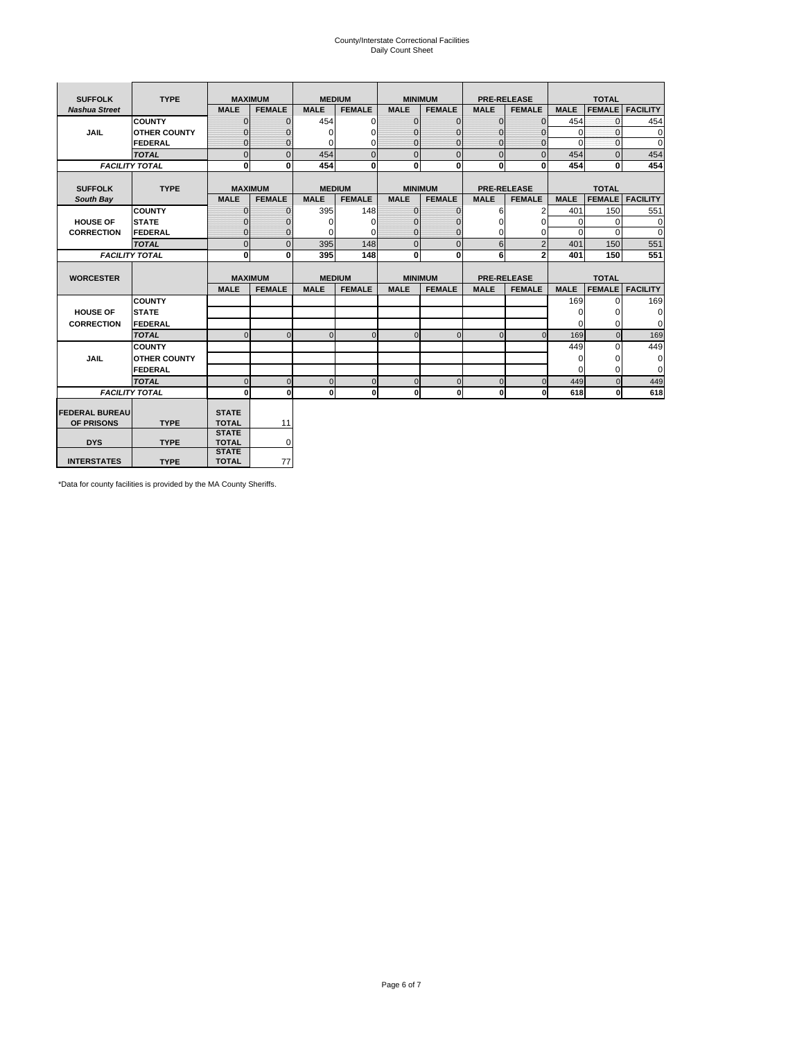# County/Interstate Correctional Facilities Daily Count Sheet

| <b>SUFFOLK</b><br><b>TYPE</b> |                       | <b>MAXIMUM</b>               |                | <b>MEDIUM</b> |               | <b>MINIMUM</b> |                | <b>PRE-RELEASE</b> |                    | <b>TOTAL</b> |               |                 |
|-------------------------------|-----------------------|------------------------------|----------------|---------------|---------------|----------------|----------------|--------------------|--------------------|--------------|---------------|-----------------|
| <b>Nashua Street</b>          |                       | <b>MALE</b>                  | <b>FEMALE</b>  | <b>MALE</b>   | <b>FEMALE</b> | <b>MALE</b>    | <b>FEMALE</b>  | <b>MALE</b>        | <b>FEMALE</b>      | <b>MALE</b>  | <b>FEMALE</b> | <b>FACILITY</b> |
|                               | <b>COUNTY</b>         | $\Omega$                     | $\mathbf{0}$   | 454           | $\Omega$      | $\mathbf{0}$   | $\Omega$       | $\mathbf{0}$       | $\Omega$           | 454          | $\Omega$      | 454             |
| JAIL                          | <b>OTHER COUNTY</b>   | $\Omega$                     | $\Omega$       | $\Omega$      | 0             | $\Omega$       | $\Omega$       | $\Omega$           | $\Omega$           | $\Omega$     | $\Omega$      | 0               |
|                               | <b>FEDERAL</b>        | $\mathbf{0}$                 | $\mathbf{0}$   | 0             | 0             | $\mathbf{0}$   | $\mathbf{0}$   | $\mathbf 0$        | $\mathbf{0}$       | $\Omega$     | 0             | 0               |
|                               | <b>TOTAL</b>          | $\Omega$                     | $\Omega$       | 454           | $\Omega$      | $\overline{0}$ | $\Omega$       | $\Omega$           | $\Omega$           | 454          | $\Omega$      | 454             |
|                               | <b>FACILITY TOTAL</b> | 0                            | $\mathbf{0}$   | 454           | 0             | $\mathbf{0}$   | $\bf{0}$       | $\mathbf{0}$       | 0                  | 454          | 0             | 454             |
|                               |                       |                              |                |               |               |                |                |                    |                    |              |               |                 |
| <b>SUFFOLK</b>                | <b>TYPE</b>           |                              | <b>MAXIMUM</b> | <b>MEDIUM</b> |               |                | <b>MINIMUM</b> |                    | <b>PRE-RELEASE</b> |              | <b>TOTAL</b>  |                 |
| South Bay                     |                       | <b>MALE</b>                  | <b>FEMALE</b>  | <b>MALE</b>   | <b>FEMALE</b> | <b>MALE</b>    | <b>FEMALE</b>  | <b>MALE</b>        | <b>FEMALE</b>      | <b>MALE</b>  | <b>FEMALE</b> | <b>FACILITY</b> |
|                               | <b>COUNTY</b>         | $\Omega$                     | $\mathbf{0}$   | 395           | 148           | $\mathbf{0}$   | $\mathbf{0}$   | 6                  | 2                  | 401          | 150           | 551             |
| <b>HOUSE OF</b>               | <b>STATE</b>          |                              | $\overline{0}$ | $\Omega$      | $\Omega$      | $\Omega$       | O              | $\Omega$           | $\Omega$           | $\Omega$     | $\Omega$      | 0               |
| <b>CORRECTION</b>             | <b>FEDERAL</b>        | $\Omega$                     | $\overline{0}$ | 0             | $\Omega$      | $\mathbf{0}$   | $\mathbf{0}$   | $\Omega$           | 0                  | $\Omega$     | $\Omega$      | $\Omega$        |
|                               | <b>TOTAL</b>          | $\Omega$                     | $\overline{0}$ | 395           | 148           | $\mathbf 0$    | $\mathbf{0}$   | 6                  | $\overline{2}$     | 401          | 150           | 551             |
|                               | <b>FACILITY TOTAL</b> | 0                            | 0              | 395           | 148           | $\mathbf{0}$   | 0              | 6                  | $\overline{2}$     | 401          | 150           | 551             |
|                               |                       |                              |                |               |               |                |                |                    |                    |              |               |                 |
| <b>WORCESTER</b>              |                       |                              | <b>MAXIMUM</b> | <b>MEDIUM</b> |               |                | <b>MINIMUM</b> |                    | <b>PRE-RELEASE</b> |              | <b>TOTAL</b>  |                 |
|                               |                       | <b>MALE</b>                  | <b>FEMALE</b>  | <b>MALE</b>   | <b>FEMALE</b> | <b>MALE</b>    | <b>FEMALE</b>  | <b>MALE</b>        | <b>FEMALE</b>      | <b>MALE</b>  | <b>FEMALE</b> | <b>FACILITY</b> |
|                               | <b>COUNTY</b>         |                              |                |               |               |                |                |                    |                    | 169          | $\Omega$      | 169             |
| <b>HOUSE OF</b>               | <b>STATE</b>          |                              |                |               |               |                |                |                    |                    | 0            | 0             | 0               |
| <b>CORRECTION</b>             | FEDERAL               |                              |                |               |               |                |                |                    |                    | $\Omega$     | $\Omega$      | 0               |
|                               | <b>TOTAL</b>          | $\Omega$                     | $\mathbf{0}$   | $\Omega$      | $\mathbf 0$   | $\mathbf{0}$   | $\mathbf{0}$   | $\mathbf{0}$       | $\Omega$           | 169          | $\mathbf{0}$  | 169             |
|                               | <b>COUNTY</b>         |                              |                |               |               |                |                |                    |                    | 449          | $\Omega$      | 449             |
| <b>JAIL</b>                   | <b>OTHER COUNTY</b>   |                              |                |               |               |                |                |                    |                    | $\Omega$     | $\Omega$      | 0               |
|                               | FEDERAL               |                              |                |               |               |                |                |                    |                    | $\Omega$     | $\Omega$      | $\mathbf 0$     |
|                               | <b>TOTAL</b>          | $\cap$                       | $\Omega$       | $\Omega$      | $\mathbf{0}$  | $\mathbf{0}$   | $\Omega$       | $\Omega$           | $\Omega$           | 449          | $\Omega$      | 449             |
|                               | <b>FACILITY TOTAL</b> | $\Omega$                     | 0              | $\Omega$      | 0             | $\mathbf{0}$   | $\bf{0}$       | $\mathbf 0$        | 0                  | 618          | O             | 618             |
|                               |                       |                              |                |               |               |                |                |                    |                    |              |               |                 |
| <b>FEDERAL BUREAU</b>         |                       | <b>STATE</b>                 |                |               |               |                |                |                    |                    |              |               |                 |
| OF PRISONS                    | <b>TYPE</b>           | <b>TOTAL</b><br><b>STATE</b> | 11             |               |               |                |                |                    |                    |              |               |                 |
| <b>DYS</b>                    | <b>TYPE</b>           | <b>TOTAL</b>                 | 0              |               |               |                |                |                    |                    |              |               |                 |
|                               |                       | <b>STATE</b>                 |                |               |               |                |                |                    |                    |              |               |                 |
| <b>INTERSTATES</b>            | <b>TYPE</b>           | <b>TOTAL</b>                 | 77             |               |               |                |                |                    |                    |              |               |                 |

\*Data for county facilities is provided by the MA County Sheriffs.